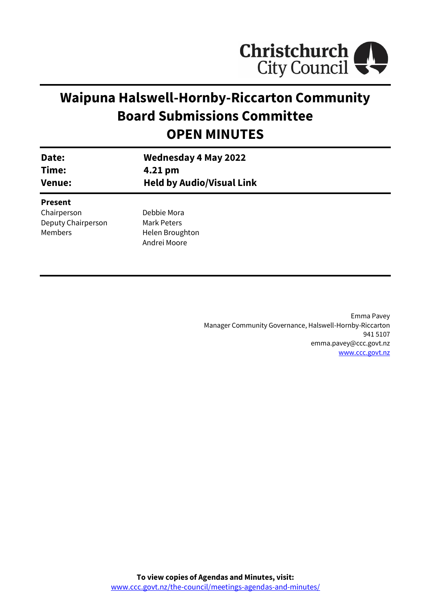

# **Waipuna Halswell-Hornby-Riccarton Community Board Submissions Committee OPEN MINUTES**

| Date:<br>Time:<br><b>Venue:</b> | <b>Wednesday 4 May 2022</b><br>4.21 pm<br><b>Held by Audio/Visual Link</b> |  |
|---------------------------------|----------------------------------------------------------------------------|--|
| <b>Present</b>                  |                                                                            |  |
| Chairperson                     | Debbie Mora                                                                |  |
| Deputy Chairperson              | Mark Peters                                                                |  |
| Members                         | Helen Broughton                                                            |  |
|                                 | Andrei Moore                                                               |  |
|                                 |                                                                            |  |

Emma Pavey Manager Community Governance, Halswell-Hornby-Riccarton 941 5107 emma.pavey@ccc.govt.nz [www.ccc.govt.nz](http://www.ccc.govt.nz/)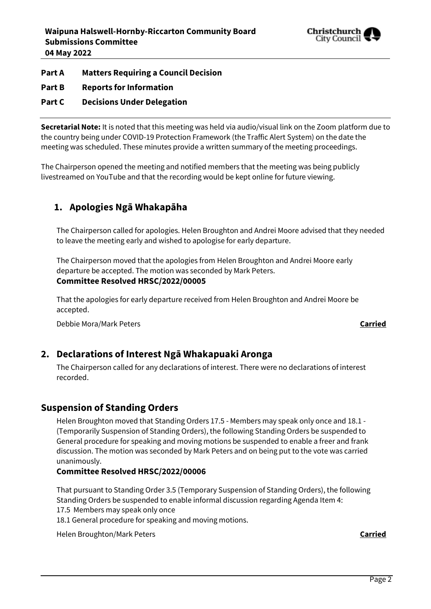

### **Part A Matters Requiring a Council Decision**

**Part B Reports for Information**

### **Part C Decisions Under Delegation**

**Secretarial Note:** It is noted that this meeting was held via audio/visual link on the Zoom platform due to the country being under COVID-19 Protection Framework (the Traffic Alert System) on the date the meeting was scheduled. These minutes provide a written summary of the meeting proceedings.

The Chairperson opened the meeting and notified members that the meeting was being publicly livestreamed on YouTube and that the recording would be kept online for future viewing.

## **1. Apologies Ngā Whakapāha**

The Chairperson called for apologies. Helen Broughton and Andrei Moore advised that they needed to leave the meeting early and wished to apologise for early departure.

The Chairperson moved that the apologies from Helen Broughton and Andrei Moore early departure be accepted. The motion was seconded by Mark Peters. **Committee Resolved HRSC/2022/00005**

That the apologies for early departure received from Helen Broughton and Andrei Moore be accepted.

Debbie Mora/Mark Peters **Carried**

### **2. Declarations of Interest Ngā Whakapuaki Aronga**

The Chairperson called for any declarations of interest. There were no declarations of interest recorded.

### **Suspension of Standing Orders**

Helen Broughton moved that Standing Orders 17.5 - Members may speak only once and 18.1 - (Temporarily Suspension of Standing Orders), the following Standing Orders be suspended to General procedure for speaking and moving motions be suspended to enable a freer and frank discussion. The motion was seconded by Mark Peters and on being put to the vote was carried unanimously.

### **Committee Resolved HRSC/2022/00006**

That pursuant to Standing Order 3.5 (Temporary Suspension of Standing Orders), the following Standing Orders be suspended to enable informal discussion regarding Agenda Item 4:

17.5 Members may speak only once

18.1 General procedure for speaking and moving motions.

Helen Broughton/Mark Peters **Carried**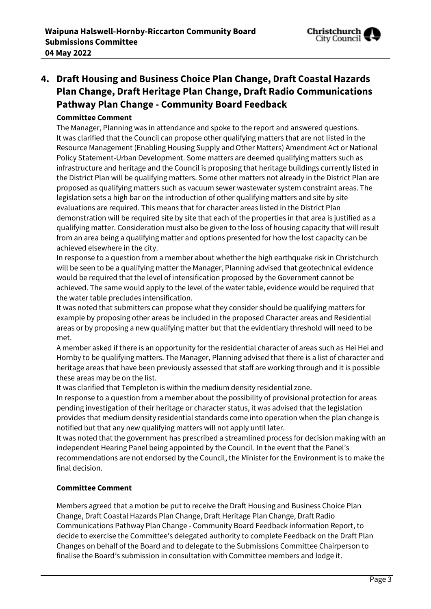

# **4. Draft Housing and Business Choice Plan Change, Draft Coastal Hazards Plan Change, Draft Heritage Plan Change, Draft Radio Communications Pathway Plan Change - Community Board Feedback**

### **Committee Comment**

The Manager, Planning was in attendance and spoke to the report and answered questions. It was clarified that the Council can propose other qualifying matters that are not listed in the Resource Management (Enabling Housing Supply and Other Matters) Amendment Act or National Policy Statement-Urban Development. Some matters are deemed qualifying matters such as infrastructure and heritage and the Council is proposing that heritage buildings currently listed in the District Plan will be qualifying matters. Some other matters not already in the District Plan are proposed as qualifying matters such as vacuum sewer wastewater system constraint areas. The legislation sets a high bar on the introduction of other qualifying matters and site by site evaluations are required. This means that for character areas listed in the District Plan demonstration will be required site by site that each of the properties in that area is justified as a qualifying matter. Consideration must also be given to the loss of housing capacity that will result from an area being a qualifying matter and options presented for how the lost capacity can be achieved elsewhere in the city.

In response to a question from a member about whether the high earthquake risk in Christchurch will be seen to be a qualifying matter the Manager, Planning advised that geotechnical evidence would be required that the level of intensification proposed by the Government cannot be achieved. The same would apply to the level of the water table, evidence would be required that the water table precludes intensification.

It was noted that submitters can propose what they consider should be qualifying matters for example by proposing other areas be included in the proposed Character areas and Residential areas or by proposing a new qualifying matter but that the evidentiary threshold will need to be met.

A member asked if there is an opportunity for the residential character of areas such as Hei Hei and Hornby to be qualifying matters. The Manager, Planning advised that there is a list of character and heritage areas that have been previously assessed that staff are working through and it is possible these areas may be on the list.

It was clarified that Templeton is within the medium density residential zone.

In response to a question from a member about the possibility of provisional protection for areas pending investigation of their heritage or character status, it was advised that the legislation provides that medium density residential standards come into operation when the plan change is notified but that any new qualifying matters will not apply until later.

It was noted that the government has prescribed a streamlined process for decision making with an independent Hearing Panel being appointed by the Council. In the event that the Panel's recommendations are not endorsed by the Council, the Minister for the Environment is to make the final decision.

### **Committee Comment**

Members agreed that a motion be put to receive the Draft Housing and Business Choice Plan Change, Draft Coastal Hazards Plan Change, Draft Heritage Plan Change, Draft Radio Communications Pathway Plan Change - Community Board Feedback information Report, to decide to exercise the Committee's delegated authority to complete Feedback on the Draft Plan Changes on behalf of the Board and to delegate to the Submissions Committee Chairperson to finalise the Board's submission in consultation with Committee members and lodge it.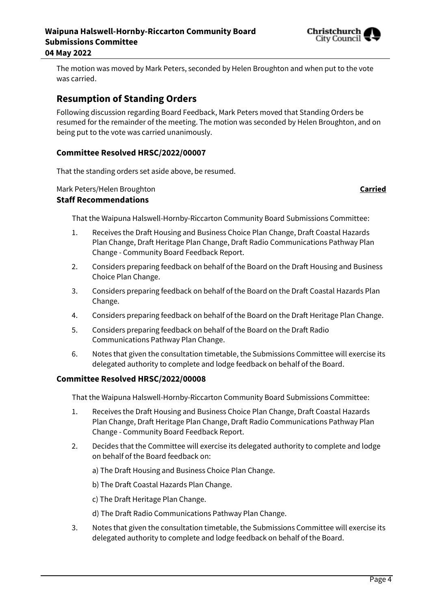

The motion was moved by Mark Peters, seconded by Helen Broughton and when put to the vote was carried.

### **Resumption of Standing Orders**

Following discussion regarding Board Feedback, Mark Peters moved that Standing Orders be resumed for the remainder of the meeting. The motion was seconded by Helen Broughton, and on being put to the vote was carried unanimously.

### **Committee Resolved HRSC/2022/00007**

That the standing orders set aside above, be resumed.

Mark Peters/Helen Broughton **Carried**

### **Staff Recommendations**

That the Waipuna Halswell-Hornby-Riccarton Community Board Submissions Committee:

- 1. Receives the Draft Housing and Business Choice Plan Change, Draft Coastal Hazards Plan Change, Draft Heritage Plan Change, Draft Radio Communications Pathway Plan Change - Community Board Feedback Report.
- 2. Considers preparing feedback on behalf of the Board on the Draft Housing and Business Choice Plan Change.
- 3. Considers preparing feedback on behalf of the Board on the Draft Coastal Hazards Plan Change.
- 4. Considers preparing feedback on behalf of the Board on the Draft Heritage Plan Change.
- 5. Considers preparing feedback on behalf of the Board on the Draft Radio Communications Pathway Plan Change.
- 6. Notes that given the consultation timetable, the Submissions Committee will exercise its delegated authority to complete and lodge feedback on behalf of the Board.

### **Committee Resolved HRSC/2022/00008**

That the Waipuna Halswell-Hornby-Riccarton Community Board Submissions Committee:

- 1. Receives the Draft Housing and Business Choice Plan Change, Draft Coastal Hazards Plan Change, Draft Heritage Plan Change, Draft Radio Communications Pathway Plan Change - Community Board Feedback Report.
- 2. Decides that the Committee will exercise its delegated authority to complete and lodge on behalf of the Board feedback on:
	- a) The Draft Housing and Business Choice Plan Change.
	- b) The Draft Coastal Hazards Plan Change.
	- c) The Draft Heritage Plan Change.
	- d) The Draft Radio Communications Pathway Plan Change.
- 3. Notes that given the consultation timetable, the Submissions Committee will exercise its delegated authority to complete and lodge feedback on behalf of the Board.